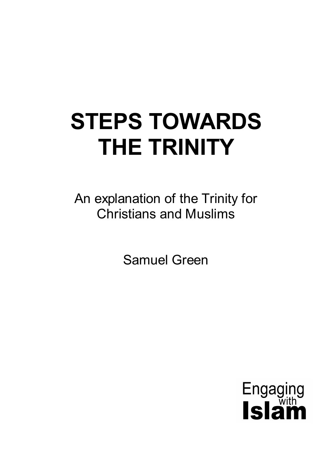# **STEPS TOWARDS THE TRINITY**

An explanation of the Trinity for Christians and Muslims

Samuel Green

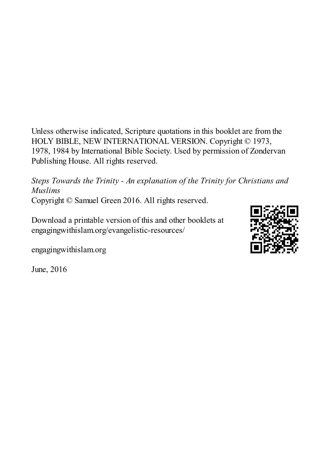Unless otherwise indicated, Scripture quotations in this booklet are from the HOLY BIBLE, NEW INTERNATIONAL VERSION. Copyright © 1973, 1978, 1984 by International Bible Society. Used by permission of Zondervan Publishing House. All rights reserved.

*Steps Towards the Trinity - An explanation of the Trinity for Christians and Muslims* Copyright © Samuel Green 2016. All rights reserved.

Download a printable version of this and other booklets at engagingwithislam.org/evangelistic-resources/

engagingwithislam.org

June, 2016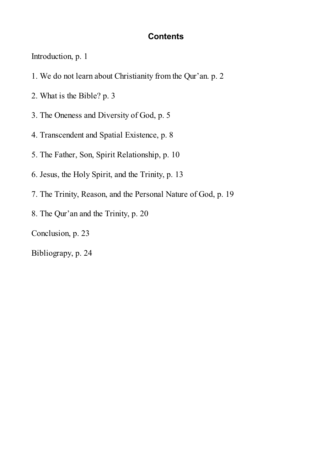#### **Contents**

Introduction, p. 1

- 1. We do not learn about Christianity from the Qur'an. p. 2
- 2. What is the Bible? p. 3
- 3. The Oneness and Diversity of God, p. 5
- 4. Transcendent and Spatial Existence, p. 8
- 5. The Father, Son, Spirit Relationship, p. 10
- 6. Jesus, the Holy Spirit, and the Trinity, p. 13
- 7. The Trinity, Reason, and the Personal Nature of God, p. 19
- 8. The Qur'an and the Trinity, p. 20

Conclusion, p. 23

Bibliograpy, p. 24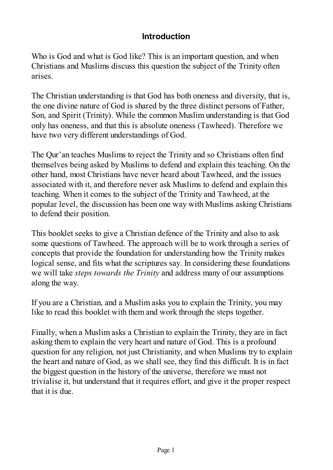## **Introduction**

Who is God and what is God like? This is an important question, and when Christians and Muslims discuss this question the subject of the Trinity often arises.

The Christian understanding is that God has both oneness and diversity, that is, the one divine nature of God is shared by the three distinct persons of Father, Son, and Spirit (Trinity). While the common Muslim understanding is that God only has oneness, and that this is absolute oneness (Tawheed). Therefore we have two very different understandings of God.

The Qur'an teaches Muslims to reject the Trinity and so Christians often find themselves being asked by Muslims to defend and explain this teaching. On the other hand, most Christians have never heard about Tawheed, and the issues associated with it, and therefore never ask Muslims to defend and explain this teaching. When it comes to the subject of the Trinity and Tawheed, at the popular level, the discussion has been one way with Muslims asking Christians to defend their position.

This booklet seeks to give a Christian defence of the Trinity and also to ask some questions of Tawheed. The approach will be to work through a series of concepts that provide the foundation for understanding how the Trinity makes logical sense, and fits what the scriptures say. In considering these foundations we will take *steps towards the Trinity* and address many of our assumptions along the way.

If you are a Christian, and a Muslim asks you to explain the Trinity, you may like to read this booklet with them and work through the steps together.

Finally, when a Muslim asks a Christian to explain the Trinity, they are in fact asking them to explain the very heart and nature of God. This is a profound question for any religion, not just Christianity, and when Muslims try to explain the heart and nature of God, as we shall see, they find this difficult. It is in fact the biggest question in the history of the universe, therefore we must not trivialise it, but understand that it requires effort, and give it the proper respect that it is due.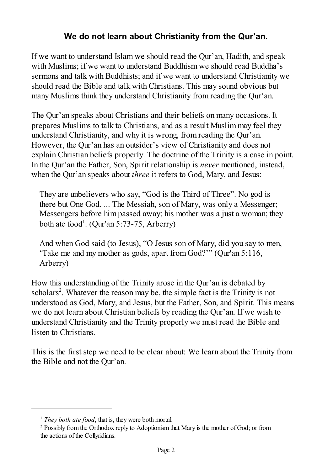## **We do not learn about Christianity from the Qur'an.**

If we want to understand Islam we should read the Qur'an, Hadith, and speak with Muslims; if we want to understand Buddhism we should read Buddha's sermons and talk with Buddhists; and if we want to understand Christianity we should read the Bible and talk with Christians. This may sound obvious but many Muslims think they understand Christianity from reading the Qur'an.

The Qur'an speaks about Christians and their beliefs on many occasions. It prepares Muslims to talk to Christians, and as a result Muslim may feel they understand Christianity, and why it is wrong, from reading the Qur'an. However, the Qur'an has an outsider's view of Christianity and does not explain Christian beliefs properly. The doctrine of the Trinity is a case in point. In the Qur'an the Father, Son, Spirit relationship is *never* mentioned, instead, when the Qur'an speaks about *three* it refers to God, Mary, and Jesus:

They are unbelievers who say, "God is the Third of Three". No god is there but One God. ... The Messiah, son of Mary, was only a Messenger; Messengers before him passed away; his mother was a just a woman; they both ate food<sup>1</sup>. (Qur'an 5:73-75, Arberry)

And when God said (to Jesus), "O Jesus son of Mary, did you say to men, 'Take me and my mother as gods, apart from God?'" (Qur'an 5:116, Arberry)

How this understanding of the Trinity arose in the Qur'an is debated by scholars<sup>2</sup>. Whatever the reason may be, the simple fact is the Trinity is not understood as God, Mary, and Jesus, but the Father, Son, and Spirit. This means we do not learn about Christian beliefs by reading the Qur'an. If we wish to understand Christianity and the Trinity properly we must read the Bible and listen to Christians.

This is the first step we need to be clear about: We learn about the Trinity from the Bible and not the Qur'an.

<sup>&</sup>lt;sup>1</sup> *They both ate food*, that is, they were both mortal.

<sup>&</sup>lt;sup>2</sup> Possibly from the Orthodox reply to Adoptionism that Mary is the mother of God; or from the actions of the Collyridians.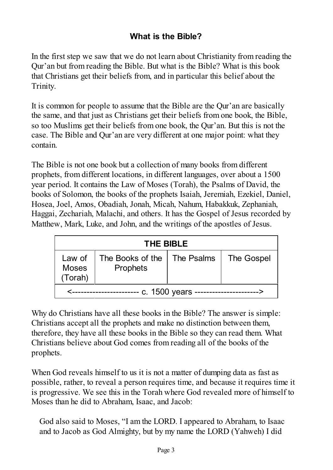# **What is the Bible?**

In the first step we saw that we do not learn about Christianity from reading the Qur'an but from reading the Bible. But what is the Bible? What is this book that Christians get their beliefs from, and in particular this belief about the Trinity.

It is common for people to assume that the Bible are the Qur'an are basically the same, and that just as Christians get their beliefs from one book, the Bible, so too Muslims get their beliefs from one book, the Qur'an. But this is not the case. The Bible and Qur'an are very different at one major point: what they contain.

The Bible is not one book but a collection of many books from different prophets, from different locations, in different languages, over about a 1500 year period. It contains the Law of Moses (Torah), the Psalms of David, the books of Solomon, the books of the prophets Isaiah, Jeremiah, Ezekiel, Daniel, Hosea, Joel, Amos, Obadiah, Jonah, Micah, Nahum, Habakkuk, Zephaniah, Haggai, Zechariah, Malachi, and others. It has the Gospel of Jesus recorded by Matthew, Mark, Luke, and John, and the writings of the apostles of Jesus.

| <b>THE BIBLE</b>                  |                                                  |  |            |
|-----------------------------------|--------------------------------------------------|--|------------|
| Law of<br><b>Moses</b><br>(Torah) | The Books of the   The Psalms<br><b>Prophets</b> |  | The Gospel |
| -- c. 1500 years                  |                                                  |  |            |

Why do Christians have all these books in the Bible? The answer is simple: Christians accept all the prophets and make no distinction between them, therefore, they have all these books in the Bible so they can read them. What Christians believe about God comes from reading all of the books of the prophets.

When God reveals himself to us it is not a matter of dumping data as fast as possible, rather, to reveal a person requires time, and because it requires time it is progressive. We see this in the Torah where God revealed more of himself to Moses than he did to Abraham, Isaac, and Jacob:

God also said to Moses, "I am the LORD. I appeared to Abraham, to Isaac and to Jacob as God Almighty, but by my name the LORD (Yahweh) I did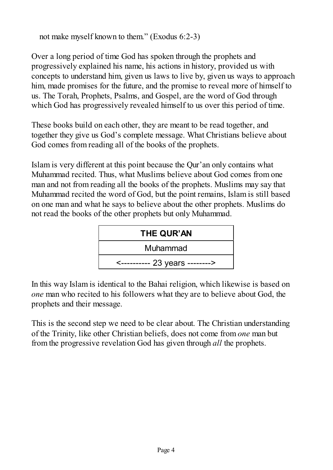not make myself known to them." (Exodus 6:2-3)

Over a long period of time God has spoken through the prophets and progressively explained his name, his actions in history, provided us with concepts to understand him, given us laws to live by, given us ways to approach him, made promises for the future, and the promise to reveal more of himself to us. The Torah, Prophets, Psalms, and Gospel, are the word of God through which God has progressively revealed himself to us over this period of time.

These books build on each other, they are meant to be read together, and together they give us God's complete message. What Christians believe about God comes from reading all of the books of the prophets.

Islam is very different at this point because the Qur'an only contains what Muhammad recited. Thus, what Muslims believe about God comes from one man and not from reading all the books of the prophets. Muslims may say that Muhammad recited the word of God, but the point remains, Islam is still based on one man and what he says to believe about the other prophets. Muslims do not read the books of the other prophets but only Muhammad.



In this way Islam is identical to the Bahai religion, which likewise is based on *one* man who recited to his followers what they are to believe about God, the prophets and their message.

This is the second step we need to be clear about. The Christian understanding of the Trinity, like other Christian beliefs, does not come from *one* man but from the progressive revelation God has given through *all* the prophets.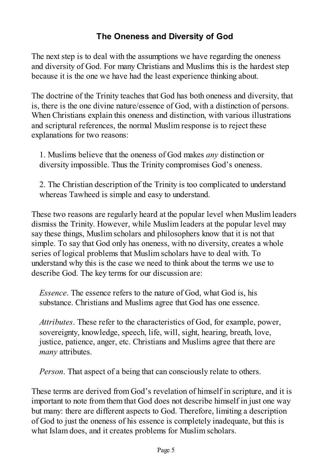# **The Oneness and Diversity of God**

The next step is to deal with the assumptions we have regarding the oneness and diversity of God. For many Christians and Muslims this is the hardest step because it is the one we have had the least experience thinking about.

The doctrine of the Trinity teaches that God has both oneness and diversity, that is, there is the one divine nature/essence of God, with a distinction of persons. When Christians explain this oneness and distinction, with various illustrations and scriptural references, the normal Muslim response is to reject these explanations for two reasons:

1. Muslims believe that the oneness of God makes *any* distinction or diversity impossible. Thus the Trinity compromises God's oneness.

2. The Christian description of the Trinity is too complicated to understand whereas Tawheed is simple and easy to understand.

These two reasons are regularly heard at the popular level when Muslim leaders dismiss the Trinity. However, while Muslim leaders at the popular level may say these things, Muslim scholars and philosophers know that it is not that simple. To say that God only has oneness, with no diversity, creates a whole series of logical problems that Muslim scholars have to deal with. To understand why this is the case we need to think about the terms we use to describe God. The key terms for our discussion are:

*Essence*. The essence refers to the nature of God, what God is, his substance. Christians and Muslims agree that God has one essence.

*Attributes*. These refer to the characteristics of God, for example, power, sovereignty, knowledge, speech, life, will, sight, hearing, breath, love, justice, patience, anger, etc. Christians and Muslims agree that there are *many* attributes.

*Person*. That aspect of a being that can consciously relate to others.

These terms are derived from God's revelation of himself in scripture, and it is important to note from them that God does not describe himself in just one way but many: there are different aspects to God. Therefore, limiting a description of God to just the oneness of his essence is completely inadequate, but this is what Islam does, and it creates problems for Muslim scholars.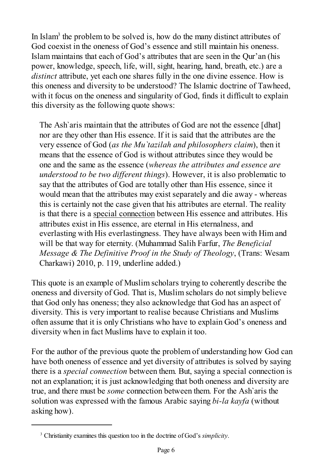In Islam<sup>3</sup> the problem to be solved is, how do the many distinct attributes of God coexist in the oneness of God's essence and still maintain his oneness. Islam maintains that each of God's attributes that are seen in the Qur'an (his power, knowledge, speech, life, will, sight, hearing, hand, breath, etc.) are a *distinct* attribute, yet each one shares fully in the one divine essence. How is this oneness and diversity to be understood? The Islamic doctrine of Tawheed, with it focus on the oneness and singularity of God, finds it difficult to explain this diversity as the following quote shows:

The Ash`aris maintain that the attributes of God are not the essence [dhat] nor are they other than His essence. If it is said that the attributes are the very essence of God (*as the Mu`tazilah and philosophers claim*), then it means that the essence of God is without attributes since they would be one and the same as the essence (*whereas the attributes and essence are understood to be two different things*). However, it is also problematic to say that the attributes of God are totally other than His essence, since it would mean that the attributes may exist separately and die away - whereas this is certainly not the case given that his attributes are eternal. The reality is that there is a special connection between His essence and attributes. His attributes exist in His essence, are eternal in His eternalness, and everlasting with His everlastingness. They have always been with Him and will be that way for eternity. (Muhammad Salih Farfur, *The Beneficial Message & The Definitive Proof in the Study of Theology*, (Trans: Wesam Charkawi) 2010, p. 119, underline added.)

This quote is an example of Muslim scholars trying to coherently describe the oneness and diversity of God. That is, Muslim scholars do not simply believe that God only has oneness; they also acknowledge that God has an aspect of diversity. This is very important to realise because Christians and Muslims often assume that it is only Christians who have to explain God's oneness and diversity when in fact Muslims have to explain it too.

For the author of the previous quote the problem of understanding how God can have both oneness of essence and yet diversity of attributes is solved by saying there is a *special connection* between them. But, saying a special connection is not an explanation; it is just acknowledging that both oneness and diversity are true, and there must be *some* connection between them. For the Ash`aris the solution was expressed with the famous Arabic saying *bi-la kayfa* (without asking how).

<sup>3</sup> Christianity examines this question too in the doctrine of God's *simplicity*.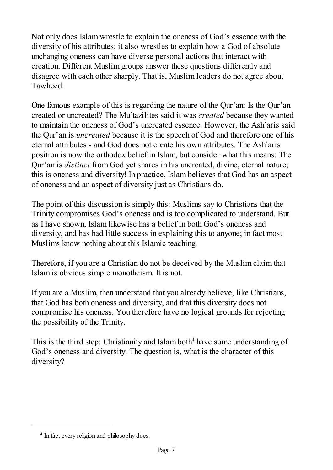Not only does Islam wrestle to explain the oneness of God's essence with the diversity of his attributes; it also wrestles to explain how a God of absolute unchanging oneness can have diverse personal actions that interact with creation. Different Muslim groups answer these questions differently and disagree with each other sharply. That is, Muslim leaders do not agree about Tawheed.

One famous example of this is regarding the nature of the Qur'an: Is the Qur'an created or uncreated? The Mu`tazilites said it was *created* because they wanted to maintain the oneness of God's uncreated essence. However, the Ash`aris said the Qur'an is *uncreated* because it is the speech of God and therefore one of his eternal attributes - and God does not create his own attributes. The Ash`aris position is now the orthodox belief in Islam, but consider what this means: The Qur'an is *distinct* from God yet shares in his uncreated, divine, eternal nature; this is oneness and diversity! In practice, Islam believes that God has an aspect of oneness and an aspect of diversity just as Christians do.

The point of this discussion is simply this: Muslims say to Christians that the Trinity compromises God's oneness and is too complicated to understand. But as I have shown, Islam likewise has a belief in both God's oneness and diversity, and has had little success in explaining this to anyone; in fact most Muslims know nothing about this Islamic teaching.

Therefore, if you are a Christian do not be deceived by the Muslim claim that Islam is obvious simple monotheism. It is not.

If you are a Muslim, then understand that you already believe, like Christians, that God has both oneness and diversity, and that this diversity does not compromise his oneness. You therefore have no logical grounds for rejecting the possibility of the Trinity.

This is the third step: Christianity and Islam both<sup>4</sup> have some understanding of God's oneness and diversity. The question is, what is the character of this diversity?

<sup>4</sup> In fact every religion and philosophy does.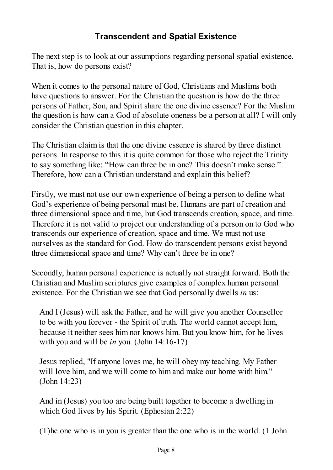## **Transcendent and Spatial Existence**

The next step is to look at our assumptions regarding personal spatial existence. That is, how do persons exist?

When it comes to the personal nature of God, Christians and Muslims both have questions to answer. For the Christian the question is how do the three persons of Father, Son, and Spirit share the one divine essence? For the Muslim the question is how can a God of absolute oneness be a person at all? I will only consider the Christian question in this chapter.

The Christian claim is that the one divine essence is shared by three distinct persons. In response to this it is quite common for those who reject the Trinity to say something like: "How can three be in one? This doesn't make sense." Therefore, how can a Christian understand and explain this belief?

Firstly, we must not use our own experience of being a person to define what God's experience of being personal must be. Humans are part of creation and three dimensional space and time, but God transcends creation, space, and time. Therefore it is not valid to project our understanding of a person on to God who transcends our experience of creation, space and time. We must not use ourselves as the standard for God. How do transcendent persons exist beyond three dimensional space and time? Why can't three be in one?

Secondly, human personal experience is actually not straight forward. Both the Christian and Muslim scriptures give examples of complex human personal existence. For the Christian we see that God personally dwells *in* us:

And I (Jesus) will ask the Father, and he will give you another Counsellor to be with you forever - the Spirit of truth. The world cannot accept him, because it neither sees him nor knows him. But you know him, for he lives with you and will be *in* you. (John 14:16-17)

Jesus replied, "If anyone loves me, he will obey my teaching. My Father will love him, and we will come to him and make our home with him." (John 14:23)

And in (Jesus) you too are being built together to become a dwelling in which God lives by his Spirit. (Ephesian 2:22)

(T)he one who is in you is greater than the one who is in the world. (1 John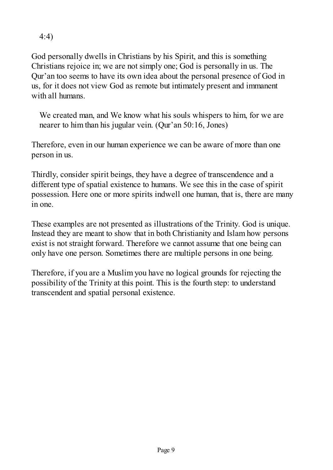4:4)

God personally dwells in Christians by his Spirit, and this is something Christians rejoice in; we are not simply one; God is personally in us. The Qur'an too seems to have its own idea about the personal presence of God in us, for it does not view God as remote but intimately present and immanent with all humans.

We created man, and We know what his souls whispers to him, for we are nearer to him than his jugular vein. (Qur'an 50:16, Jones)

Therefore, even in our human experience we can be aware of more than one person in us.

Thirdly, consider spirit beings, they have a degree of transcendence and a different type of spatial existence to humans. We see this in the case of spirit possession. Here one or more spirits indwell one human, that is, there are many in one.

These examples are not presented as illustrations of the Trinity. God is unique. Instead they are meant to show that in both Christianity and Islam how persons exist is not straight forward. Therefore we cannot assume that one being can only have one person. Sometimes there are multiple persons in one being.

Therefore, if you are a Muslim you have no logical grounds for rejecting the possibility of the Trinity at this point. This is the fourth step: to understand transcendent and spatial personal existence.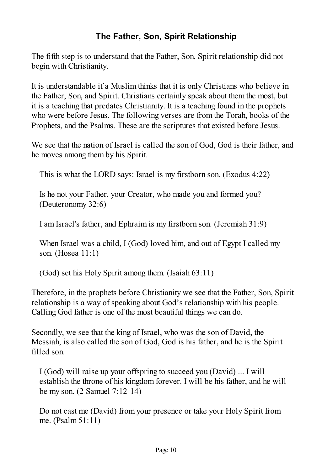# **The Father, Son, Spirit Relationship**

The fifth step is to understand that the Father, Son, Spirit relationship did not begin with Christianity.

It is understandable if a Muslim thinks that it is only Christians who believe in the Father, Son, and Spirit. Christians certainly speak about them the most, but it is a teaching that predates Christianity. It is a teaching found in the prophets who were before Jesus. The following verses are from the Torah, books of the Prophets, and the Psalms. These are the scriptures that existed before Jesus.

We see that the nation of Israel is called the son of God, God is their father, and he moves among them by his Spirit.

This is what the LORD says: Israel is my firstborn son. (Exodus 4:22)

Is he not your Father, your Creator, who made you and formed you? (Deuteronomy 32:6)

I am Israel's father, and Ephraim is my firstborn son. (Jeremiah 31:9)

When Israel was a child, I (God) loved him, and out of Egypt I called my son. (Hosea 11:1)

(God) set his Holy Spirit among them. (Isaiah 63:11)

Therefore, in the prophets before Christianity we see that the Father, Son, Spirit relationship is a way of speaking about God's relationship with his people. Calling God father is one of the most beautiful things we can do.

Secondly, we see that the king of Israel, who was the son of David, the Messiah, is also called the son of God, God is his father, and he is the Spirit filled son.

I (God) will raise up your offspring to succeed you (David) ... I will establish the throne of his kingdom forever. I will be his father, and he will be my son. (2 Samuel 7:12-14)

Do not cast me (David) from your presence or take your Holy Spirit from me. (Psalm 51:11)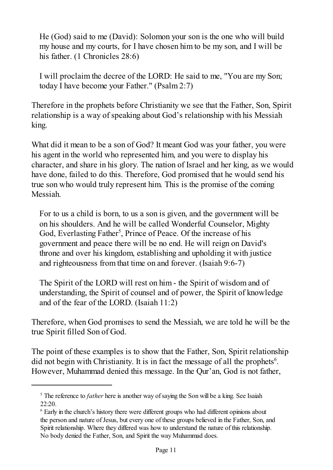He (God) said to me (David): Solomon your son is the one who will build my house and my courts, for I have chosen him to be my son, and I will be his father. (1 Chronicles 28:6)

I will proclaim the decree of the LORD: He said to me, "You are my Son; today I have become your Father." (Psalm 2:7)

Therefore in the prophets before Christianity we see that the Father, Son, Spirit relationship is a way of speaking about God's relationship with his Messiah king.

What did it mean to be a son of God? It meant God was your father, you were his agent in the world who represented him, and you were to display his character, and share in his glory. The nation of Israel and her king, as we would have done, failed to do this. Therefore, God promised that he would send his true son who would truly represent him. This is the promise of the coming Messiah.

For to us a child is born, to us a son is given, and the government will be on his shoulders. And he will be called Wonderful Counselor, Mighty God, Everlasting Father<sup>5</sup>, Prince of Peace. Of the increase of his government and peace there will be no end. He will reign on David's throne and over his kingdom, establishing and upholding it with justice and righteousness from that time on and forever. (Isaiah 9:6-7)

The Spirit of the LORD will rest on him - the Spirit of wisdom and of understanding, the Spirit of counsel and of power, the Spirit of knowledge and of the fear of the LORD. (Isaiah 11:2)

Therefore, when God promises to send the Messiah, we are told he will be the true Spirit filled Son of God.

The point of these examples is to show that the Father, Son, Spirit relationship did not begin with Christianity. It is in fact the message of all the prophets<sup>6</sup>. However, Muhammad denied this message. In the Qur'an, God is not father,

<sup>&</sup>lt;sup>5</sup> The reference to *father* here is another way of saying the Son will be a king. See Isaiah 22:20.

<sup>&</sup>lt;sup>6</sup> Early in the church's history there were different groups who had different opinions about the person and nature of Jesus, but every one of these groups believed in the Father, Son, and Spirit relationship. Where they differed was how to understand the nature of this relationship. No body denied the Father, Son, and Spirit the way Muhammad does.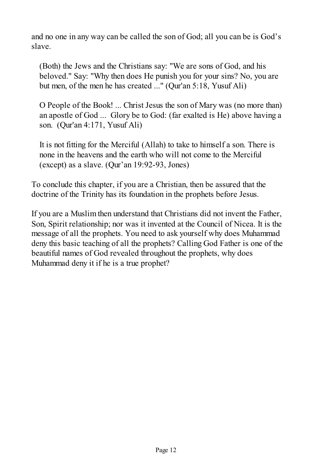and no one in any way can be called the son of God; all you can be is God's slave.

(Both) the Jews and the Christians say: "We are sons of God, and his beloved." Say: "Why then does He punish you for your sins? No, you are but men, of the men he has created ..." (Qur'an 5:18, Yusuf Ali)

O People of the Book! ... Christ Jesus the son of Mary was (no more than) an apostle of God ... Glory be to God: (far exalted is He) above having a son. (Qur'an 4:171, Yusuf Ali)

It is not fitting for the Merciful (Allah) to take to himself a son. There is none in the heavens and the earth who will not come to the Merciful (except) as a slave. (Qur'an 19:92-93, Jones)

To conclude this chapter, if you are a Christian, then be assured that the doctrine of the Trinity has its foundation in the prophets before Jesus.

If you are a Muslim then understand that Christians did not invent the Father, Son, Spirit relationship; nor was it invented at the Council of Nicea. It is the message of all the prophets. You need to ask yourself why does Muhammad deny this basic teaching of all the prophets? Calling God Father is one of the beautiful names of God revealed throughout the prophets, why does Muhammad deny it if he is a true prophet?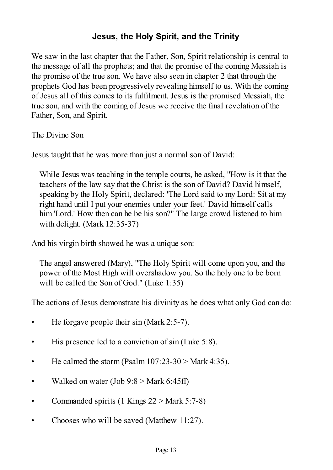## **Jesus, the Holy Spirit, and the Trinity**

We saw in the last chapter that the Father, Son, Spirit relationship is central to the message of all the prophets; and that the promise of the coming Messiah is the promise of the true son. We have also seen in chapter 2 that through the prophets God has been progressively revealing himself to us. With the coming of Jesus all of this comes to its fulfilment. Jesus is the promised Messiah, the true son, and with the coming of Jesus we receive the final revelation of the Father, Son, and Spirit.

#### The Divine Son

Jesus taught that he was more than just a normal son of David:

While Jesus was teaching in the temple courts, he asked, "How is it that the teachers of the law say that the Christ is the son of David? David himself, speaking by the Holy Spirit, declared: 'The Lord said to my Lord: Sit at my right hand until I put your enemies under your feet.' David himself calls him 'Lord.' How then can he be his son?" The large crowd listened to him with delight. (Mark 12:35-37)

And his virgin birth showed he was a unique son:

The angel answered (Mary), "The Holy Spirit will come upon you, and the power of the Most High will overshadow you. So the holy one to be born will be called the Son of God." (Luke 1:35)

The actions of Jesus demonstrate his divinity as he does what only God can do:

- He forgave people their sin (Mark 2:5-7).
- His presence led to a conviction of sin (Luke 5:8).
- He calmed the storm (Psalm  $107:23-30$  > Mark 4:35).
- Walked on water (Job  $9:8 >$  Mark 6:45ff)
- Commanded spirits (1 Kings  $22 >$  Mark 5:7-8)
- Chooses who will be saved (Matthew 11:27).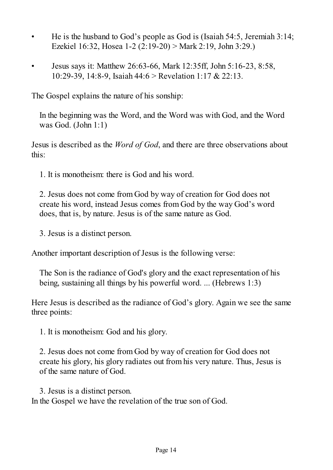- He is the husband to God's people as God is (Isaiah 54:5, Jeremiah 3:14; Ezekiel 16:32, Hosea 1-2 (2:19-20) > Mark 2:19, John 3:29.)
- Jesus says it: Matthew 26:63-66, Mark 12:35ff, John 5:16-23, 8:58, 10:29-39, 14:8-9, Isaiah 44:6 > Revelation 1:17 & 22:13.

The Gospel explains the nature of his sonship:

In the beginning was the Word, and the Word was with God, and the Word was God. (John 1:1)

Jesus is described as the *Word of God*, and there are three observations about this:

1. It is monotheism: there is God and his word.

2. Jesus does not come from God by way of creation for God does not create his word, instead Jesus comes from God by the way God's word does, that is, by nature. Jesus is of the same nature as God.

3. Jesus is a distinct person.

Another important description of Jesus is the following verse:

The Son is the radiance of God's glory and the exact representation of his being, sustaining all things by his powerful word. ... (Hebrews 1:3)

Here Jesus is described as the radiance of God's glory. Again we see the same three points:

1. It is monotheism: God and his glory.

2. Jesus does not come from God by way of creation for God does not create his glory, his glory radiates out from his very nature. Thus, Jesus is of the same nature of God.

3. Jesus is a distinct person. In the Gospel we have the revelation of the true son of God.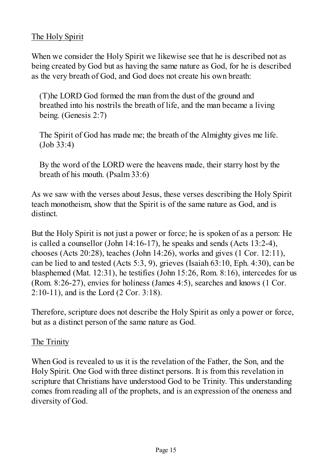#### The Holy Spirit

When we consider the Holy Spirit we likewise see that he is described not as being created by God but as having the same nature as God, for he is described as the very breath of God, and God does not create his own breath:

(T)he LORD God formed the man from the dust of the ground and breathed into his nostrils the breath of life, and the man became a living being. (Genesis 2:7)

The Spirit of God has made me; the breath of the Almighty gives me life. (Job 33:4)

By the word of the LORD were the heavens made, their starry host by the breath of his mouth. (Psalm 33:6)

As we saw with the verses about Jesus, these verses describing the Holy Spirit teach monotheism, show that the Spirit is of the same nature as God, and is distinct.

But the Holy Spirit is not just a power or force; he is spoken of as a person: He is called a counsellor (John 14:16-17), he speaks and sends (Acts 13:2-4), chooses (Acts 20:28), teaches (John 14:26), works and gives (1 Cor. 12:11), can be lied to and tested (Acts 5:3, 9), grieves (Isaiah 63:10, Eph. 4:30), can be blasphemed (Mat. 12:31), he testifies (John 15:26, Rom. 8:16), intercedes for us (Rom. 8:26-27), envies for holiness (James 4:5), searches and knows (1 Cor. 2:10-11), and is the Lord (2 Cor. 3:18).

Therefore, scripture does not describe the Holy Spirit as only a power or force, but as a distinct person of the same nature as God.

#### The Trinity

When God is revealed to us it is the revelation of the Father, the Son, and the Holy Spirit. One God with three distinct persons. It is from this revelation in scripture that Christians have understood God to be Trinity. This understanding comes from reading all of the prophets, and is an expression of the oneness and diversity of God.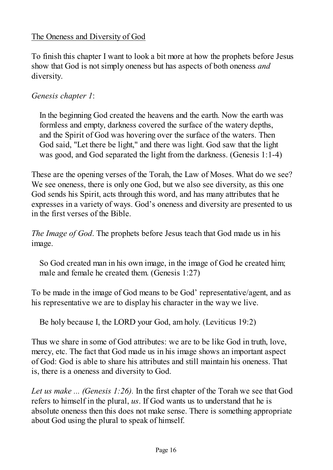#### The Oneness and Diversity of God

To finish this chapter I want to look a bit more at how the prophets before Jesus show that God is not simply oneness but has aspects of both oneness *and* diversity.

#### *Genesis chapter 1*:

In the beginning God created the heavens and the earth. Now the earth was formless and empty, darkness covered the surface of the watery depths, and the Spirit of God was hovering over the surface of the waters. Then God said, "Let there be light," and there was light. God saw that the light was good, and God separated the light from the darkness. (Genesis 1:1-4)

These are the opening verses of the Torah, the Law of Moses. What do we see? We see oneness, there is only one God, but we also see diversity, as this one God sends his Spirit, acts through this word, and has many attributes that he expresses in a variety of ways. God's oneness and diversity are presented to us in the first verses of the Bible.

*The Image of God*. The prophets before Jesus teach that God made us in his image.

So God created man in his own image, in the image of God he created him; male and female he created them. (Genesis 1:27)

To be made in the image of God means to be God' representative/agent, and as his representative we are to display his character in the way we live.

Be holy because I, the LORD your God, am holy. (Leviticus 19:2)

Thus we share in some of God attributes: we are to be like God in truth, love, mercy, etc. The fact that God made us in his image shows an important aspect of God: God is able to share his attributes and still maintain his oneness. That is, there is a oneness and diversity to God.

*Let us make ... (Genesis 1:26).* In the first chapter of the Torah we see that God refers to himself in the plural, *us*. If God wants us to understand that he is absolute oneness then this does not make sense. There is something appropriate about God using the plural to speak of himself.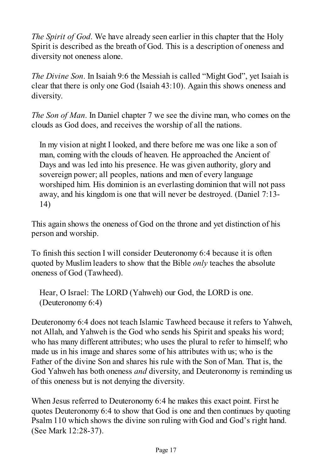*The Spirit of God*. We have already seen earlier in this chapter that the Holy Spirit is described as the breath of God. This is a description of oneness and diversity not oneness alone.

*The Divine Son*. In Isaiah 9:6 the Messiah is called "Might God", yet Isaiah is clear that there is only one God (Isaiah 43:10). Again this shows oneness and diversity.

*The Son of Man*. In Daniel chapter 7 we see the divine man, who comes on the clouds as God does, and receives the worship of all the nations.

In my vision at night I looked, and there before me was one like a son of man, coming with the clouds of heaven. He approached the Ancient of Days and was led into his presence. He was given authority, glory and sovereign power; all peoples, nations and men of every language worshiped him. His dominion is an everlasting dominion that will not pass away, and his kingdom is one that will never be destroyed. (Daniel 7:13- 14)

This again shows the oneness of God on the throne and yet distinction of his person and worship.

To finish this section I will consider Deuteronomy 6:4 because it is often quoted by Muslim leaders to show that the Bible *only* teaches the absolute oneness of God (Tawheed).

Hear, O Israel: The LORD (Yahweh) our God, the LORD is one. (Deuteronomy 6:4)

Deuteronomy 6:4 does not teach Islamic Tawheed because it refers to Yahweh, not Allah, and Yahweh is the God who sends his Spirit and speaks his word; who has many different attributes; who uses the plural to refer to himself; who made us in his image and shares some of his attributes with us; who is the Father of the divine Son and shares his rule with the Son of Man. That is, the God Yahweh has both oneness *and* diversity, and Deuteronomy is reminding us of this oneness but is not denying the diversity.

When Jesus referred to Deuteronomy 6:4 he makes this exact point. First he quotes Deuteronomy 6:4 to show that God is one and then continues by quoting Psalm 110 which shows the divine son ruling with God and God's right hand. (See Mark 12:28-37).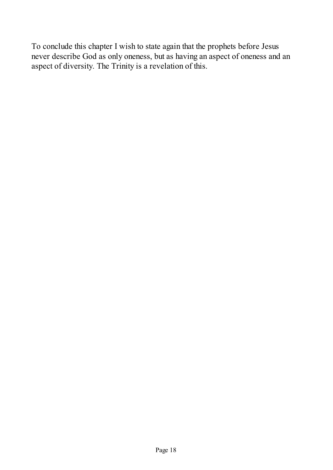To conclude this chapter I wish to state again that the prophets before Jesus never describe God as only oneness, but as having an aspect of oneness and an aspect of diversity. The Trinity is a revelation of this.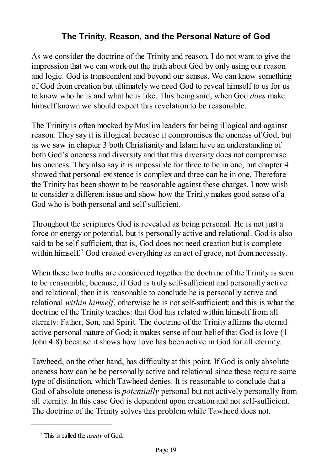# **The Trinity, Reason, and the Personal Nature of God**

As we consider the doctrine of the Trinity and reason, I do not want to give the impression that we can work out the truth about God by only using our reason and logic. God is transcendent and beyond our senses. We can know something of God from creation but ultimately we need God to reveal himself to us for us to know who he is and what he is like. This being said, when God *does* make himself known we should expect this revelation to be reasonable.

The Trinity is often mocked by Muslim leaders for being illogical and against reason. They say it is illogical because it compromises the oneness of God, but as we saw in chapter 3 both Christianity and Islam have an understanding of both God's oneness and diversity and that this diversity does not compromise his oneness. They also say it is impossible for three to be in one, but chapter 4 showed that personal existence is complex and three can be in one. Therefore the Trinity has been shown to be reasonable against these charges. I now wish to consider a different issue and show how the Trinity makes good sense of a God who is both personal and self-sufficient.

Throughout the scriptures God is revealed as being personal. He is not just a force or energy or potential, but is personally active and relational. God is also said to be self-sufficient, that is, God does not need creation but is complete within himself.<sup>7</sup> God created everything as an act of grace, not from necessity.

When these two truths are considered together the doctrine of the Trinity is seen to be reasonable, because, if God is truly self-sufficient and personally active and relational, then it is reasonable to conclude he is personally active and relational *within himself*, otherwise he is not self-sufficient; and this is what the doctrine of the Trinity teaches: that God has related within himself from all eternity: Father, Son, and Spirit. The doctrine of the Trinity affirms the eternal active personal nature of God; it makes sense of our belief that God is love (1 John 4:8) because it shows how love has been active in God for all eternity.

Tawheed, on the other hand, has difficulty at this point. If God is only absolute oneness how can he be personally active and relational since these require some type of distinction, which Tawheed denies. It is reasonable to conclude that a God of absolute oneness is *potentially* personal but not actively personally from all eternity. In this case God is dependent upon creation and not self-sufficient. The doctrine of the Trinity solves this problem while Tawheed does not.

<sup>7</sup> This is called the *aseity* of God.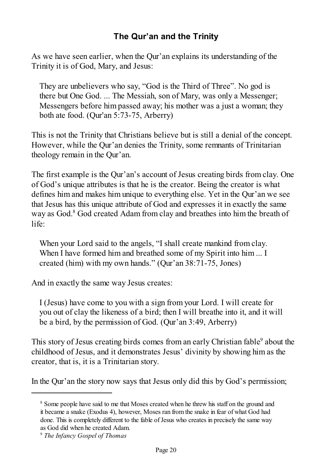## **The Qur'an and the Trinity**

As we have seen earlier, when the Qur'an explains its understanding of the Trinity it is of God, Mary, and Jesus:

They are unbelievers who say, "God is the Third of Three". No god is there but One God. ... The Messiah, son of Mary, was only a Messenger; Messengers before him passed away; his mother was a just a woman; they both ate food. (Qur'an 5:73-75, Arberry)

This is not the Trinity that Christians believe but is still a denial of the concept. However, while the Qur'an denies the Trinity, some remnants of Trinitarian theology remain in the Qur'an.

The first example is the Qur'an's account of Jesus creating birds from clay. One of God's unique attributes is that he is the creator. Being the creator is what defines him and makes him unique to everything else. Yet in the Qur'an we see that Jesus has this unique attribute of God and expresses it in exactly the same way as God.<sup>8</sup> God created Adam from clay and breathes into him the breath of life:

When your Lord said to the angels, "I shall create mankind from clay. When I have formed him and breathed some of my Spirit into him ... I created (him) with my own hands." (Qur'an 38:71-75, Jones)

And in exactly the same way Jesus creates:

I (Jesus) have come to you with a sign from your Lord. I will create for you out of clay the likeness of a bird; then I will breathe into it, and it will be a bird, by the permission of God. (Qur'an 3:49, Arberry)

This story of Jesus creating birds comes from an early Christian fable<sup>9</sup> about the childhood of Jesus, and it demonstrates Jesus' divinity by showing him as the creator, that is, it is a Trinitarian story.

In the Qur'an the story now says that Jesus only did this by God's permission;

<sup>&</sup>lt;sup>8</sup> Some people have said to me that Moses created when he threw his staff on the ground and it became a snake (Exodus 4), however, Moses ran from the snake in fear of what God had done. This is completely different to the fable of Jesus who creates in precisely the same way as God did when he created Adam.

<sup>9</sup> *The Infancy Gospel of Thomas*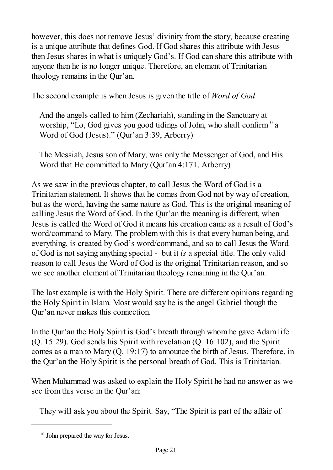however, this does not remove Jesus' divinity from the story, because creating is a unique attribute that defines God. If God shares this attribute with Jesus then Jesus shares in what is uniquely God's. If God can share this attribute with anyone then he is no longer unique. Therefore, an element of Trinitarian theology remains in the Qur'an.

The second example is when Jesus is given the title of *Word of God*.

And the angels called to him (Zechariah), standing in the Sanctuary at worship, "Lo, God gives you good tidings of John, who shall confirm<sup>10</sup> a Word of God (Jesus)." (Qur'an 3:39, Arberry)

The Messiah, Jesus son of Mary, was only the Messenger of God, and His Word that He committed to Mary (Qur'an 4:171, Arberry)

As we saw in the previous chapter, to call Jesus the Word of God is a Trinitarian statement. It shows that he comes from God not by way of creation, but as the word, having the same nature as God. This is the original meaning of calling Jesus the Word of God. In the Qur'an the meaning is different, when Jesus is called the Word of God it means his creation came as a result of God's word/command to Mary. The problem with this is that every human being, and everything, is created by God's word/command, and so to call Jesus the Word of God is not saying anything special - but it *is* a special title. The only valid reason to call Jesus the Word of God is the original Trinitarian reason, and so we see another element of Trinitarian theology remaining in the Qur'an.

The last example is with the Holy Spirit. There are different opinions regarding the Holy Spirit in Islam. Most would say he is the angel Gabriel though the Qur'an never makes this connection.

In the Qur'an the Holy Spirit is God's breath through whom he gave Adam life (Q. 15:29). God sends his Spirit with revelation (Q. 16:102), and the Spirit comes as a man to Mary (Q. 19:17) to announce the birth of Jesus. Therefore, in the Qur'an the Holy Spirit is the personal breath of God. This is Trinitarian.

When Muhammad was asked to explain the Holy Spirit he had no answer as we see from this verse in the Qur'an:

They will ask you about the Spirit. Say, "The Spirit is part of the affair of

<sup>&</sup>lt;sup>10</sup> John prepared the way for Jesus.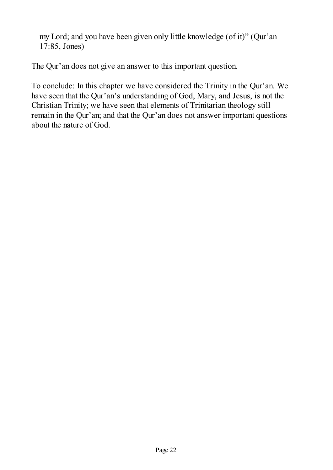my Lord; and you have been given only little knowledge (of it)" (Qur'an 17:85, Jones)

The Qur'an does not give an answer to this important question.

To conclude: In this chapter we have considered the Trinity in the Qur'an. We have seen that the Qur'an's understanding of God, Mary, and Jesus, is not the Christian Trinity; we have seen that elements of Trinitarian theology still remain in the Qur'an; and that the Qur'an does not answer important questions about the nature of God.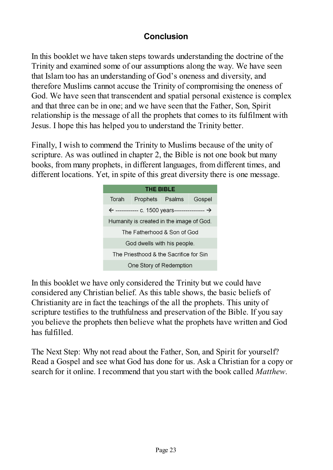## **Conclusion**

In this booklet we have taken steps towards understanding the doctrine of the Trinity and examined some of our assumptions along the way. We have seen that Islam too has an understanding of God's oneness and diversity, and therefore Muslims cannot accuse the Trinity of compromising the oneness of God. We have seen that transcendent and spatial personal existence is complex and that three can be in one; and we have seen that the Father, Son, Spirit relationship is the message of all the prophets that comes to its fulfilment with Jesus. I hope this has helped you to understand the Trinity better.

Finally, I wish to commend the Trinity to Muslims because of the unity of scripture. As was outlined in chapter 2, the Bible is not one book but many books, from many prophets, in different languages, from different times, and different locations. Yet, in spite of this great diversity there is one message.



In this booklet we have only considered the Trinity but we could have considered any Christian belief. As this table shows, the basic beliefs of Christianity are in fact the teachings of the all the prophets. This unity of scripture testifies to the truthfulness and preservation of the Bible. If you say you believe the prophets then believe what the prophets have written and God has fulfilled.

The Next Step: Why not read about the Father, Son, and Spirit for yourself? Read a Gospel and see what God has done for us. Ask a Christian for a copy or search for it online. I recommend that you start with the book called *Matthew*.